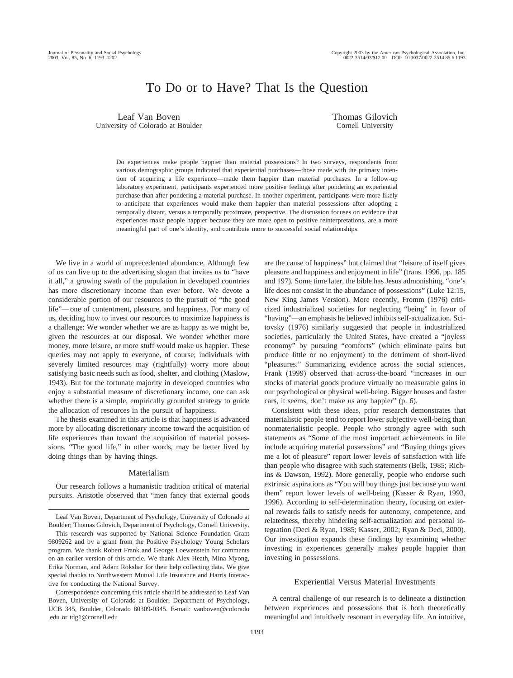# To Do or to Have? That Is the Question

Leaf Van Boven University of Colorado at Boulder Thomas Gilovich Cornell University

Do experiences make people happier than material possessions? In two surveys, respondents from various demographic groups indicated that experiential purchases—those made with the primary intention of acquiring a life experience—made them happier than material purchases. In a follow-up laboratory experiment, participants experienced more positive feelings after pondering an experiential purchase than after pondering a material purchase. In another experiment, participants were more likely to anticipate that experiences would make them happier than material possessions after adopting a temporally distant, versus a temporally proximate, perspective. The discussion focuses on evidence that experiences make people happier because they are more open to positive reinterpretations, are a more meaningful part of one's identity, and contribute more to successful social relationships.

We live in a world of unprecedented abundance. Although few of us can live up to the advertising slogan that invites us to "have it all," a growing swath of the population in developed countries has more discretionary income than ever before. We devote a considerable portion of our resources to the pursuit of "the good life"—one of contentment, pleasure, and happiness. For many of us, deciding how to invest our resources to maximize happiness is a challenge: We wonder whether we are as happy as we might be, given the resources at our disposal. We wonder whether more money, more leisure, or more stuff would make us happier. These queries may not apply to everyone, of course; individuals with severely limited resources may (rightfully) worry more about satisfying basic needs such as food, shelter, and clothing (Maslow, 1943). But for the fortunate majority in developed countries who enjoy a substantial measure of discretionary income, one can ask whether there is a simple, empirically grounded strategy to guide the allocation of resources in the pursuit of happiness.

The thesis examined in this article is that happiness is advanced more by allocating discretionary income toward the acquisition of life experiences than toward the acquisition of material possessions. "The good life," in other words, may be better lived by doing things than by having things.

#### Materialism

Our research follows a humanistic tradition critical of material pursuits. Aristotle observed that "men fancy that external goods

Leaf Van Boven, Department of Psychology, University of Colorado at Boulder; Thomas Gilovich, Department of Psychology, Cornell University. are the cause of happiness" but claimed that "leisure of itself gives pleasure and happiness and enjoyment in life" (trans. 1996, pp. 185 and 197). Some time later, the bible has Jesus admonishing, "one's life does not consist in the abundance of possessions" (Luke 12:15, New King James Version). More recently, Fromm (1976) criticized industrialized societies for neglecting "being" in favor of "having"—an emphasis he believed inhibits self-actualization. Scitovsky (1976) similarly suggested that people in industrialized societies, particularly the United States, have created a "joyless economy" by pursuing "comforts" (which eliminate pains but produce little or no enjoyment) to the detriment of short-lived "pleasures." Summarizing evidence across the social sciences, Frank (1999) observed that across-the-board "increases in our stocks of material goods produce virtually no measurable gains in our psychological or physical well-being. Bigger houses and faster cars, it seems, don't make us any happier" (p. 6).

Consistent with these ideas, prior research demonstrates that materialistic people tend to report lower subjective well-being than nonmaterialistic people. People who strongly agree with such statements as "Some of the most important achievements in life include acquiring material possessions" and "Buying things gives me a lot of pleasure" report lower levels of satisfaction with life than people who disagree with such statements (Belk, 1985; Richins & Dawson, 1992). More generally, people who endorse such extrinsic aspirations as "You will buy things just because you want them" report lower levels of well-being (Kasser & Ryan, 1993, 1996). According to self-determination theory, focusing on external rewards fails to satisfy needs for autonomy, competence, and relatedness, thereby hindering self-actualization and personal integration (Deci & Ryan, 1985; Kasser, 2002; Ryan & Deci, 2000). Our investigation expands these findings by examining whether investing in experiences generally makes people happier than investing in possessions.

## Experiential Versus Material Investments

A central challenge of our research is to delineate a distinction between experiences and possessions that is both theoretically meaningful and intuitively resonant in everyday life. An intuitive,

This research was supported by National Science Foundation Grant 9809262 and by a grant from the Positive Psychology Young Scholars program. We thank Robert Frank and George Loewenstein for comments on an earlier version of this article. We thank Alex Heath, Mina Myong, Erika Norman, and Adam Rokshar for their help collecting data. We give special thanks to Northwestern Mutual Life Insurance and Harris Interactive for conducting the National Survey.

Correspondence concerning this article should be addressed to Leaf Van Boven, University of Colorado at Boulder, Department of Psychology, UCB 345, Boulder, Colorado 80309-0345. E-mail: vanboven@colorado .edu or tdg1@cornell.edu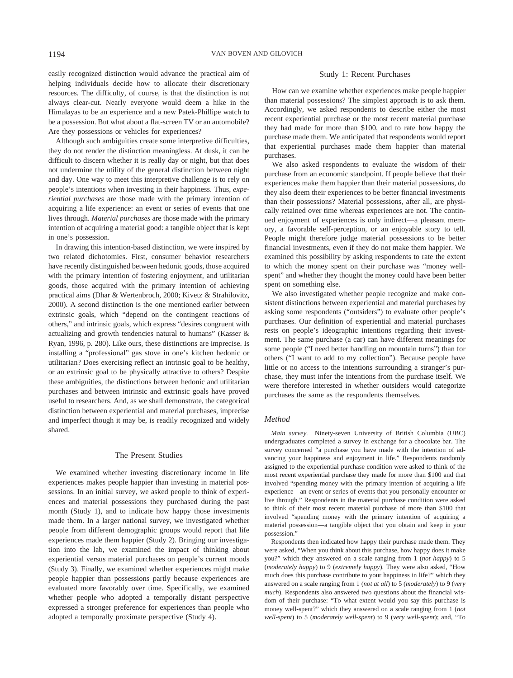easily recognized distinction would advance the practical aim of helping individuals decide how to allocate their discretionary resources. The difficulty, of course, is that the distinction is not always clear-cut. Nearly everyone would deem a hike in the Himalayas to be an experience and a new Patek-Phillipe watch to be a possession. But what about a flat-screen TV or an automobile? Are they possessions or vehicles for experiences?

Although such ambiguities create some interpretive difficulties, they do not render the distinction meaningless. At dusk, it can be difficult to discern whether it is really day or night, but that does not undermine the utility of the general distinction between night and day. One way to meet this interpretive challenge is to rely on people's intentions when investing in their happiness. Thus, *experiential purchases* are those made with the primary intention of acquiring a life experience: an event or series of events that one lives through. *Material purchases* are those made with the primary intention of acquiring a material good: a tangible object that is kept in one's possession.

In drawing this intention-based distinction, we were inspired by two related dichotomies. First, consumer behavior researchers have recently distinguished between hedonic goods, those acquired with the primary intention of fostering enjoyment, and utilitarian goods, those acquired with the primary intention of achieving practical aims (Dhar & Wertenbroch, 2000; Kivetz & Strahilovitz, 2000). A second distinction is the one mentioned earlier between extrinsic goals, which "depend on the contingent reactions of others," and intrinsic goals, which express "desires congruent with actualizing and growth tendencies natural to humans" (Kasser & Ryan, 1996, p. 280). Like ours, these distinctions are imprecise. Is installing a "professional" gas stove in one's kitchen hedonic or utilitarian? Does exercising reflect an intrinsic goal to be healthy, or an extrinsic goal to be physically attractive to others? Despite these ambiguities, the distinctions between hedonic and utilitarian purchases and between intrinsic and extrinsic goals have proved useful to researchers. And, as we shall demonstrate, the categorical distinction between experiential and material purchases, imprecise and imperfect though it may be, is readily recognized and widely shared.

## The Present Studies

We examined whether investing discretionary income in life experiences makes people happier than investing in material possessions. In an initial survey, we asked people to think of experiences and material possessions they purchased during the past month (Study 1), and to indicate how happy those investments made them. In a larger national survey, we investigated whether people from different demographic groups would report that life experiences made them happier (Study 2). Bringing our investigation into the lab, we examined the impact of thinking about experiential versus material purchases on people's current moods (Study 3). Finally, we examined whether experiences might make people happier than possessions partly because experiences are evaluated more favorably over time. Specifically, we examined whether people who adopted a temporally distant perspective expressed a stronger preference for experiences than people who adopted a temporally proximate perspective (Study 4).

#### Study 1: Recent Purchases

How can we examine whether experiences make people happier than material possessions? The simplest approach is to ask them. Accordingly, we asked respondents to describe either the most recent experiential purchase or the most recent material purchase they had made for more than \$100, and to rate how happy the purchase made them. We anticipated that respondents would report that experiential purchases made them happier than material purchases.

We also asked respondents to evaluate the wisdom of their purchase from an economic standpoint. If people believe that their experiences make them happier than their material possessions, do they also deem their experiences to be better financial investments than their possessions? Material possessions, after all, are physically retained over time whereas experiences are not. The continued enjoyment of experiences is only indirect—a pleasant memory, a favorable self-perception, or an enjoyable story to tell. People might therefore judge material possessions to be better financial investments, even if they do not make them happier. We examined this possibility by asking respondents to rate the extent to which the money spent on their purchase was "money wellspent" and whether they thought the money could have been better spent on something else.

We also investigated whether people recognize and make consistent distinctions between experiential and material purchases by asking some respondents ("outsiders") to evaluate other people's purchases. Our definition of experiential and material purchases rests on people's ideographic intentions regarding their investment. The same purchase (a car) can have different meanings for some people ("I need better handling on mountain turns") than for others ("I want to add to my collection"). Because people have little or no access to the intentions surrounding a stranger's purchase, they must infer the intentions from the purchase itself. We were therefore interested in whether outsiders would categorize purchases the same as the respondents themselves.

#### *Method*

*Main survey.* Ninety-seven University of British Columbia (UBC) undergraduates completed a survey in exchange for a chocolate bar. The survey concerned "a purchase you have made with the intention of advancing your happiness and enjoyment in life." Respondents randomly assigned to the experiential purchase condition were asked to think of the most recent experiential purchase they made for more than \$100 and that involved "spending money with the primary intention of acquiring a life experience—an event or series of events that you personally encounter or live through." Respondents in the material purchase condition were asked to think of their most recent material purchase of more than \$100 that involved "spending money with the primary intention of acquiring a material possession—a tangible object that you obtain and keep in your possession."

Respondents then indicated how happy their purchase made them. They were asked, "When you think about this purchase, how happy does it make you?" which they answered on a scale ranging from 1 (*not happy*) to 5 (*moderately happy*) to 9 (*extremely happy*). They were also asked, "How much does this purchase contribute to your happiness in life?" which they answered on a scale ranging from 1 (*not at all*) to 5 (*moderately*) to 9 (*very much*). Respondents also answered two questions about the financial wisdom of their purchase: "To what extent would you say this purchase is money well-spent?" which they answered on a scale ranging from 1 (*not well-spent*) to 5 (*moderately well-spent*) to 9 (*very well-spent*); and, "To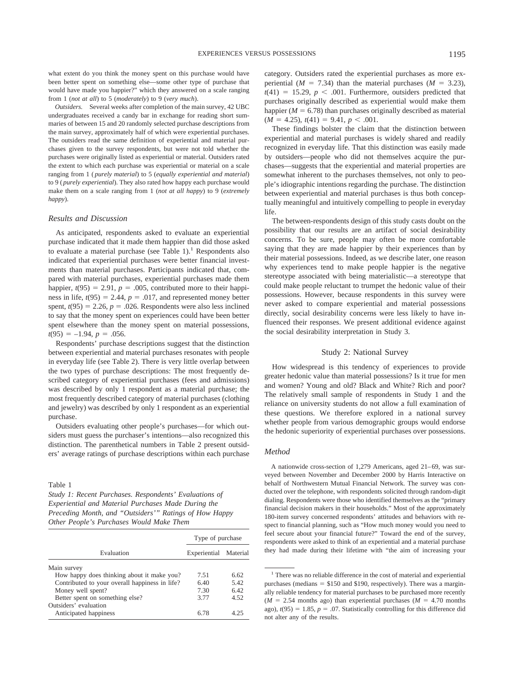what extent do you think the money spent on this purchase would have been better spent on something else—some other type of purchase that would have made you happier?" which they answered on a scale ranging from 1 (*not at all*) to 5 (*moderately*) to 9 (*very much*).

*Outsiders.* Several weeks after completion of the main survey, 42 UBC undergraduates received a candy bar in exchange for reading short summaries of between 15 and 20 randomly selected purchase descriptions from the main survey, approximately half of which were experiential purchases. The outsiders read the same definition of experiential and material purchases given to the survey respondents, but were not told whether the purchases were originally listed as experiential or material. Outsiders rated the extent to which each purchase was experiential or material on a scale ranging from 1 ( *purely material*) to 5 (*equally experiential and material*) to 9 ( *purely experiential*). They also rated how happy each purchase would make them on a scale ranging from 1 (*not at all happy*) to 9 (*extremely happy*).

#### *Results and Discussion*

As anticipated, respondents asked to evaluate an experiential purchase indicated that it made them happier than did those asked to evaluate a material purchase (see Table 1).<sup>1</sup> Respondents also indicated that experiential purchases were better financial investments than material purchases. Participants indicated that, compared with material purchases, experiential purchases made them happier,  $t(95) = 2.91$ ,  $p = .005$ , contributed more to their happiness in life,  $t(95) = 2.44$ ,  $p = .017$ , and represented money better spent,  $t(95) = 2.26$ ,  $p = .026$ . Respondents were also less inclined to say that the money spent on experiences could have been better spent elsewhere than the money spent on material possessions,  $t(95) = -1.94, p = .056.$ 

Respondents' purchase descriptions suggest that the distinction between experiential and material purchases resonates with people in everyday life (see Table 2). There is very little overlap between the two types of purchase descriptions: The most frequently described category of experiential purchases (fees and admissions) was described by only 1 respondent as a material purchase; the most frequently described category of material purchases (clothing and jewelry) was described by only 1 respondent as an experiential purchase.

Outsiders evaluating other people's purchases—for which outsiders must guess the purchaser's intentions—also recognized this distinction. The parenthetical numbers in Table 2 present outsiders' average ratings of purchase descriptions within each purchase

Table 1

*Study 1: Recent Purchases. Respondents' Evaluations of Experiential and Material Purchases Made During the Preceding Month, and "Outsiders'" Ratings of How Happy Other People's Purchases Would Make Them*

|                                                | Type of purchase      |      |
|------------------------------------------------|-----------------------|------|
| Evaluation                                     | Experiential Material |      |
| Main survey                                    |                       |      |
| How happy does thinking about it make you?     | 7.51                  | 6.62 |
| Contributed to your overall happiness in life? | 6.40                  | 5.42 |
| Money well spent?                              | 7.30                  | 6.42 |
| Better spent on something else?                | 3.77                  | 4.52 |
| Outsiders' evaluation                          |                       |      |
| Anticipated happiness                          | 6.78                  | 4 75 |

category. Outsiders rated the experiential purchases as more experiential  $(M = 7.34)$  than the material purchases  $(M = 3.23)$ ,  $t(41) = 15.29, p < .001$ . Furthermore, outsiders predicted that purchases originally described as experiential would make them happier  $(M = 6.78)$  than purchases originally described as material  $(M = 4.25), t(41) = 9.41, p < .001.$ 

These findings bolster the claim that the distinction between experiential and material purchases is widely shared and readily recognized in everyday life. That this distinction was easily made by outsiders—people who did not themselves acquire the purchases—suggests that the experiential and material properties are somewhat inherent to the purchases themselves, not only to people's idiographic intentions regarding the purchase. The distinction between experiential and material purchases is thus both conceptually meaningful and intuitively compelling to people in everyday life.

The between-respondents design of this study casts doubt on the possibility that our results are an artifact of social desirability concerns. To be sure, people may often be more comfortable saying that they are made happier by their experiences than by their material possessions. Indeed, as we describe later, one reason why experiences tend to make people happier is the negative stereotype associated with being materialistic—a stereotype that could make people reluctant to trumpet the hedonic value of their possessions. However, because respondents in this survey were never asked to compare experiential and material possessions directly, social desirability concerns were less likely to have influenced their responses. We present additional evidence against the social desirability interpretation in Study 3.

#### Study 2: National Survey

How widespread is this tendency of experiences to provide greater hedonic value than material possessions? Is it true for men and women? Young and old? Black and White? Rich and poor? The relatively small sample of respondents in Study 1 and the reliance on university students do not allow a full examination of these questions. We therefore explored in a national survey whether people from various demographic groups would endorse the hedonic superiority of experiential purchases over possessions.

#### *Method*

A nationwide cross-section of 1,279 Americans, aged 21–69, was surveyed between November and December 2000 by Harris Interactive on behalf of Northwestern Mutual Financial Network. The survey was conducted over the telephone, with respondents solicited through random-digit dialing. Respondents were those who identified themselves as the "primary financial decision makers in their households." Most of the approximately 180-item survey concerned respondents' attitudes and behaviors with respect to financial planning, such as "How much money would you need to feel secure about your financial future?" Toward the end of the survey, respondents were asked to think of an experiential and a material purchase they had made during their lifetime with "the aim of increasing your

<sup>&</sup>lt;sup>1</sup> There was no reliable difference in the cost of material and experiential purchases (medians  $= $150$  and \$190, respectively). There was a marginally reliable tendency for material purchases to be purchased more recently  $(M = 2.54$  months ago) than experiential purchases  $(M = 4.70$  months ago),  $t(95) = 1.85$ ,  $p = .07$ . Statistically controlling for this difference did not alter any of the results.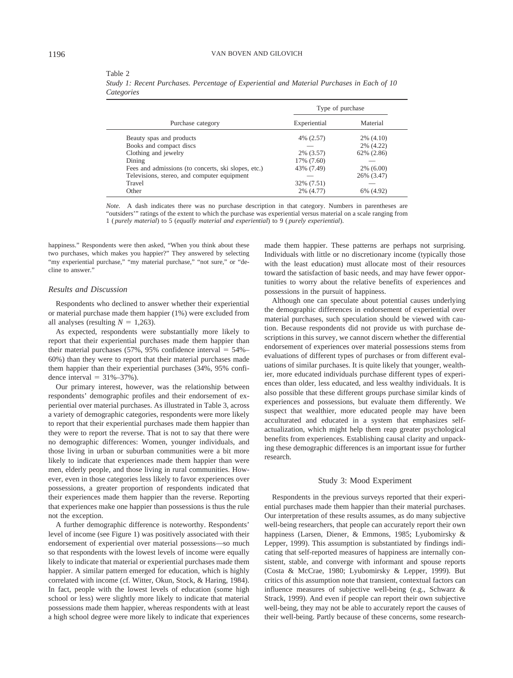#### 1196 VAN BOVEN AND GILOVICH

|                                                     | Type of purchase |              |
|-----------------------------------------------------|------------------|--------------|
| Purchase category                                   | Experiential     | Material     |
| Beauty spas and products                            | 4% (2.57)        | 2% (4.10)    |
| Books and compact discs                             |                  | 2% (4.22)    |
| Clothing and jewelry                                | 2% (3.57)        | 62% (2.86)   |
| Dining                                              | 17% (7.60)       |              |
| Fees and admissions (to concerts, ski slopes, etc.) | 43% (7.49)       | $2\%$ (6.00) |
| Televisions, stereo, and computer equipment         |                  | 26% (3.47)   |
| Travel                                              | 32\% (7.51)      |              |
| Other                                               | 2% (4.77)        | 6% (4.92)    |

Table 2 *Study 1: Recent Purchases. Percentage of Experiential and Material Purchases in Each of 10 Categories*

*Note.* A dash indicates there was no purchase description in that category. Numbers in parentheses are "outsiders'" ratings of the extent to which the purchase was experiential versus material on a scale ranging from 1 ( *purely material*) to 5 (*equally material and experiential*) to 9 ( *purely experiential*).

happiness." Respondents were then asked, "When you think about these two purchases, which makes you happier?" They answered by selecting "my experiential purchase," "my material purchase," "not sure," or "decline to answer."

#### *Results and Discussion*

Respondents who declined to answer whether their experiential or material purchase made them happier (1%) were excluded from all analyses (resulting  $N = 1,263$ ).

As expected, respondents were substantially more likely to report that their experiential purchases made them happier than their material purchases (57%, 95% confidence interval  $= 54%$ 60%) than they were to report that their material purchases made them happier than their experiential purchases (34%, 95% confidence interval  $= 31\% - 37\%$ ).

Our primary interest, however, was the relationship between respondents' demographic profiles and their endorsement of experiential over material purchases. As illustrated in Table 3, across a variety of demographic categories, respondents were more likely to report that their experiential purchases made them happier than they were to report the reverse. That is not to say that there were no demographic differences: Women, younger individuals, and those living in urban or suburban communities were a bit more likely to indicate that experiences made them happier than were men, elderly people, and those living in rural communities. However, even in those categories less likely to favor experiences over possessions, a greater proportion of respondents indicated that their experiences made them happier than the reverse. Reporting that experiences make one happier than possessions is thus the rule not the exception.

A further demographic difference is noteworthy. Respondents' level of income (see Figure 1) was positively associated with their endorsement of experiential over material possessions—so much so that respondents with the lowest levels of income were equally likely to indicate that material or experiential purchases made them happier. A similar pattern emerged for education, which is highly correlated with income (cf. Witter, Okun, Stock, & Haring, 1984). In fact, people with the lowest levels of education (some high school or less) were slightly more likely to indicate that material possessions made them happier, whereas respondents with at least a high school degree were more likely to indicate that experiences made them happier. These patterns are perhaps not surprising. Individuals with little or no discretionary income (typically those with the least education) must allocate most of their resources toward the satisfaction of basic needs, and may have fewer opportunities to worry about the relative benefits of experiences and possessions in the pursuit of happiness.

Although one can speculate about potential causes underlying the demographic differences in endorsement of experiential over material purchases, such speculation should be viewed with caution. Because respondents did not provide us with purchase descriptions in this survey, we cannot discern whether the differential endorsement of experiences over material possessions stems from evaluations of different types of purchases or from different evaluations of similar purchases. It is quite likely that younger, wealthier, more educated individuals purchase different types of experiences than older, less educated, and less wealthy individuals. It is also possible that these different groups purchase similar kinds of experiences and possessions, but evaluate them differently. We suspect that wealthier, more educated people may have been acculturated and educated in a system that emphasizes selfactualization, which might help them reap greater psychological benefits from experiences. Establishing causal clarity and unpacking these demographic differences is an important issue for further research.

#### Study 3: Mood Experiment

Respondents in the previous surveys reported that their experiential purchases made them happier than their material purchases. Our interpretation of these results assumes, as do many subjective well-being researchers, that people can accurately report their own happiness (Larsen, Diener, & Emmons, 1985; Lyubomirsky & Lepper, 1999). This assumption is substantiated by findings indicating that self-reported measures of happiness are internally consistent, stable, and converge with informant and spouse reports (Costa & McCrae, 1980; Lyubomirsky & Lepper, 1999). But critics of this assumption note that transient, contextual factors can influence measures of subjective well-being (e.g., Schwarz & Strack, 1999). And even if people can report their own subjective well-being, they may not be able to accurately report the causes of their well-being. Partly because of these concerns, some research-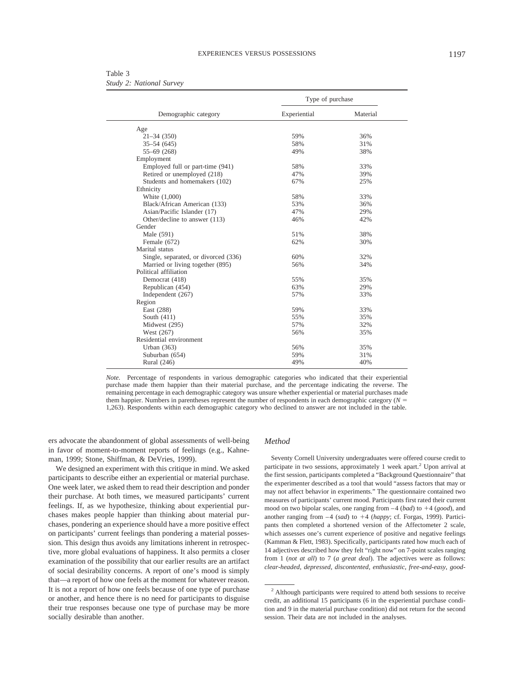| Table 3 |                          |  |
|---------|--------------------------|--|
|         | Study 2: National Survey |  |

|                                      | Type of purchase |          |
|--------------------------------------|------------------|----------|
| Demographic category                 | Experiential     | Material |
| Age                                  |                  |          |
| $21 - 34(350)$                       | 59%              | 36%      |
| $35 - 54(645)$                       | 58%              | 31%      |
| $55 - 69$ $(268)$                    | 49%              | 38%      |
| Employment                           |                  |          |
| Employed full or part-time (941)     | 58%              | 33%      |
| Retired or unemployed (218)          | 47%              | 39%      |
| Students and homemakers (102)        | 67%              | 25%      |
| Ethnicity                            |                  |          |
| White (1,000)                        | 58%              | 33%      |
| Black/African American (133)         | 53%              | 36%      |
| Asian/Pacific Islander (17)          | 47%              | 29%      |
| Other/decline to answer (113)        | 46%              | 42%      |
| Gender                               |                  |          |
| Male (591)                           | 51%              | 38%      |
| Female (672)                         | 62%              | 30%      |
| Marital status                       |                  |          |
| Single, separated, or divorced (336) | 60%              | 32%      |
| Married or living together (895)     | 56%              | 34%      |
| Political affiliation                |                  |          |
| Democrat (418)                       | 55%              | 35%      |
| Republican (454)                     | 63%              | 29%      |
| Independent (267)                    | 57%              | 33%      |
| Region                               |                  |          |
| East (288)                           | 59%              | 33%      |
| South $(411)$                        | 55%              | 35%      |
| Midwest (295)                        | 57%              | 32%      |
| West (267)                           | 56%              | 35%      |
| Residential environment              |                  |          |
| Urban (363)                          | 56%              | 35%      |
| Suburban (654)                       | 59%              | 31%      |
| Rural (246)                          | 49%              | 40%      |

*Note.* Percentage of respondents in various demographic categories who indicated that their experiential purchase made them happier than their material purchase, and the percentage indicating the reverse. The remaining percentage in each demographic category was unsure whether experiential or material purchases made them happier. Numbers in parentheses represent the number of respondents in each demographic category (*N* 1,263). Respondents within each demographic category who declined to answer are not included in the table.

ers advocate the abandonment of global assessments of well-being in favor of moment-to-moment reports of feelings (e.g., Kahneman, 1999; Stone, Shiffman, & DeVries, 1999).

We designed an experiment with this critique in mind. We asked participants to describe either an experiential or material purchase. One week later, we asked them to read their description and ponder their purchase. At both times, we measured participants' current feelings. If, as we hypothesize, thinking about experiential purchases makes people happier than thinking about material purchases, pondering an experience should have a more positive effect on participants' current feelings than pondering a material possession. This design thus avoids any limitations inherent in retrospective, more global evaluations of happiness. It also permits a closer examination of the possibility that our earlier results are an artifact of social desirability concerns. A report of one's mood is simply that—a report of how one feels at the moment for whatever reason. It is not a report of how one feels because of one type of purchase or another, and hence there is no need for participants to disguise their true responses because one type of purchase may be more socially desirable than another.

#### *Method*

Seventy Cornell University undergraduates were offered course credit to participate in two sessions, approximately 1 week apart.<sup>2</sup> Upon arrival at the first session, participants completed a "Background Questionnaire" that the experimenter described as a tool that would "assess factors that may or may not affect behavior in experiments." The questionnaire contained two measures of participants' current mood. Participants first rated their current mood on two bipolar scales, one ranging from  $-4$  (*bad*) to  $+4$  (*good*), and another ranging from  $-4$  (*sad*) to  $+4$  (*happy*; cf. Forgas, 1999). Participants then completed a shortened version of the Affectometer 2 scale, which assesses one's current experience of positive and negative feelings (Kamman & Flett, 1983). Specifically, participants rated how much each of 14 adjectives described how they felt "right now" on 7-point scales ranging from 1 (*not at all*) to 7 (*a great deal*). The adjectives were as follows: *clear-headed*, *depressed*, *discontented*, *enthusiastic*, *free-and-easy*, *good-*

<sup>2</sup> Although participants were required to attend both sessions to receive credit, an additional 15 participants (6 in the experiential purchase condition and 9 in the material purchase condition) did not return for the second session. Their data are not included in the analyses.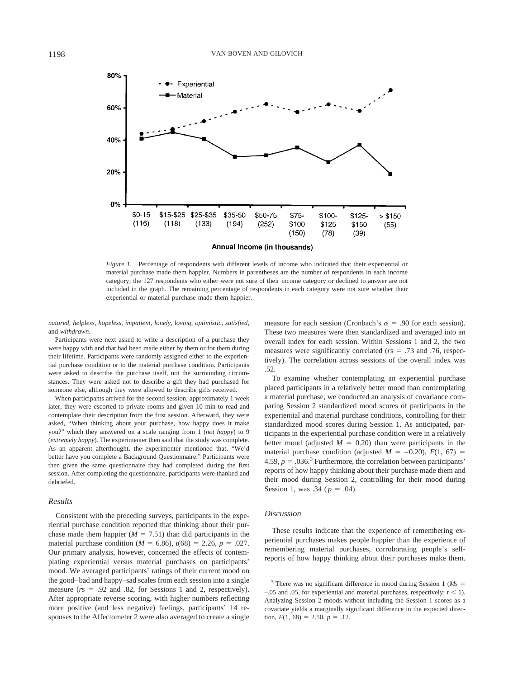

*Figure 1.* Percentage of respondents with different levels of income who indicated that their experiential or material purchase made them happier. Numbers in parentheses are the number of respondents in each income category; the 127 respondents who either were not sure of their income category or declined to answer are not included in the graph. The remaining percentage of respondents in each category were not sure whether their experiential or material purchase made them happier.

*natured*, *helpless*, *hopeless*, *impatient*, *lonely*, *loving*, *optimistic*, *satisfied*, and *withdrawn*.

Participants were next asked to write a description of a purchase they were happy with and that had been made either by them or for them during their lifetime. Participants were randomly assigned either to the experiential purchase condition or to the material purchase condition. Participants were asked to describe the purchase itself, not the surrounding circumstances. They were asked not to describe a gift they had purchased for someone else, although they were allowed to describe gifts received.

When participants arrived for the second session, approximately 1 week later, they were escorted to private rooms and given 10 min to read and contemplate their description from the first session. Afterward, they were asked, "When thinking about your purchase, how happy does it make you?" which they answered on a scale ranging from 1 (*not happy*) to 9 (*extremely happy*). The experimenter then said that the study was complete. As an apparent afterthought, the experimenter mentioned that, "We'd better have you complete a Background Questionnaire." Participants were then given the same questionnaire they had completed during the first session. After completing the questionnaire, participants were thanked and debriefed.

#### *Results*

Consistent with the preceding surveys, participants in the experiential purchase condition reported that thinking about their purchase made them happier  $(M = 7.51)$  than did participants in the material purchase condition ( $M = 6.86$ ),  $t(68) = 2.26$ ,  $p = .027$ . Our primary analysis, however, concerned the effects of contemplating experiential versus material purchases on participants' mood. We averaged participants' ratings of their current mood on the good–bad and happy–sad scales from each session into a single measure  $(rs = .92$  and .82, for Sessions 1 and 2, respectively). After appropriate reverse scoring, with higher numbers reflecting more positive (and less negative) feelings, participants' 14 responses to the Affectometer 2 were also averaged to create a single measure for each session (Cronbach's  $\alpha = .90$  for each session). These two measures were then standardized and averaged into an overall index for each session. Within Sessions 1 and 2, the two measures were significantly correlated ( $r_s = .73$  and .76, respectively). The correlation across sessions of the overall index was .52.

To examine whether contemplating an experiential purchase placed participants in a relatively better mood than contemplating a material purchase, we conducted an analysis of covariance comparing Session 2 standardized mood scores of participants in the experiential and material purchase conditions, controlling for their standardized mood scores during Session 1. As anticipated, participants in the experiential purchase condition were in a relatively better mood (adjusted  $M = 0.20$ ) than were participants in the material purchase condition (adjusted  $M = -0.20$ ),  $F(1, 67) =$ 4.59,  $p = .036$ <sup>3</sup> Furthermore, the correlation between participants' reports of how happy thinking about their purchase made them and their mood during Session 2, controlling for their mood during Session 1, was .34 ( $p = .04$ ).

#### *Discussion*

These results indicate that the experience of remembering experiential purchases makes people happier than the experience of remembering material purchases, corroborating people's selfreports of how happy thinking about their purchases make them.

<sup>3</sup> There was no significant difference in mood during Session 1 (*M*s  $-0.05$  and  $0.05$ , for experiential and material purchases, respectively;  $t < 1$ ). Analyzing Session 2 moods without including the Session 1 scores as a covariate yields a marginally significant difference in the expected direction,  $F(1, 68) = 2.50, p = .12$ .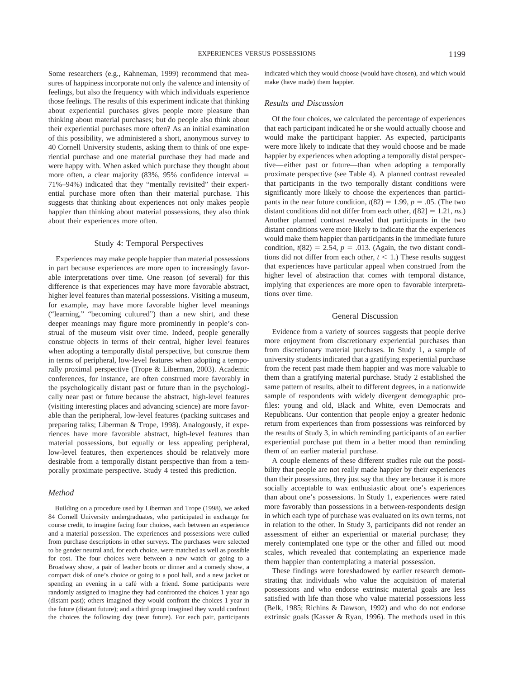Some researchers (e.g., Kahneman, 1999) recommend that measures of happiness incorporate not only the valence and intensity of feelings, but also the frequency with which individuals experience those feelings. The results of this experiment indicate that thinking about experiential purchases gives people more pleasure than thinking about material purchases; but do people also think about their experiential purchases more often? As an initial examination of this possibility, we administered a short, anonymous survey to 40 Cornell University students, asking them to think of one experiential purchase and one material purchase they had made and were happy with. When asked which purchase they thought about more often, a clear majority  $(83\%, 95\% \text{ confidence interval } =$ 71%–94%) indicated that they "mentally revisited" their experiential purchase more often than their material purchase. This suggests that thinking about experiences not only makes people happier than thinking about material possessions, they also think about their experiences more often.

#### Study 4: Temporal Perspectives

Experiences may make people happier than material possessions in part because experiences are more open to increasingly favorable interpretations over time. One reason (of several) for this difference is that experiences may have more favorable abstract, higher level features than material possessions. Visiting a museum, for example, may have more favorable higher level meanings ("learning," "becoming cultured") than a new shirt, and these deeper meanings may figure more prominently in people's construal of the museum visit over time. Indeed, people generally construe objects in terms of their central, higher level features when adopting a temporally distal perspective, but construe them in terms of peripheral, low-level features when adopting a temporally proximal perspective (Trope & Liberman, 2003). Academic conferences, for instance, are often construed more favorably in the psychologically distant past or future than in the psychologically near past or future because the abstract, high-level features (visiting interesting places and advancing science) are more favorable than the peripheral, low-level features (packing suitcases and preparing talks; Liberman & Trope, 1998). Analogously, if experiences have more favorable abstract, high-level features than material possessions, but equally or less appealing peripheral, low-level features, then experiences should be relatively more desirable from a temporally distant perspective than from a temporally proximate perspective. Study 4 tested this prediction.

#### *Method*

Building on a procedure used by Liberman and Trope (1998), we asked 84 Cornell University undergraduates, who participated in exchange for course credit, to imagine facing four choices, each between an experience and a material possession. The experiences and possessions were culled from purchase descriptions in other surveys. The purchases were selected to be gender neutral and, for each choice, were matched as well as possible for cost. The four choices were between a new watch or going to a Broadway show, a pair of leather boots or dinner and a comedy show, a compact disk of one's choice or going to a pool hall, and a new jacket or spending an evening in a café with a friend. Some participants were randomly assigned to imagine they had confronted the choices 1 year ago (distant past); others imagined they would confront the choices 1 year in the future (distant future); and a third group imagined they would confront the choices the following day (near future). For each pair, participants

indicated which they would choose (would have chosen), and which would make (have made) them happier.

## *Results and Discussion*

Of the four choices, we calculated the percentage of experiences that each participant indicated he or she would actually choose and would make the participant happier. As expected, participants were more likely to indicate that they would choose and be made happier by experiences when adopting a temporally distal perspective—either past or future—than when adopting a temporally proximate perspective (see Table 4). A planned contrast revealed that participants in the two temporally distant conditions were significantly more likely to choose the experiences than participants in the near future condition,  $t(82) = 1.99$ ,  $p = .05$ . (The two distant conditions did not differ from each other,  $t[82] = 1.21$ , *ns*.) Another planned contrast revealed that participants in the two distant conditions were more likely to indicate that the experiences would make them happier than participants in the immediate future condition,  $t(82) = 2.54$ ,  $p = .013$ . (Again, the two distant conditions did not differ from each other,  $t < 1$ .) These results suggest that experiences have particular appeal when construed from the higher level of abstraction that comes with temporal distance, implying that experiences are more open to favorable interpretations over time.

# General Discussion

Evidence from a variety of sources suggests that people derive more enjoyment from discretionary experiential purchases than from discretionary material purchases. In Study 1, a sample of university students indicated that a gratifying experiential purchase from the recent past made them happier and was more valuable to them than a gratifying material purchase. Study 2 established the same pattern of results, albeit to different degrees, in a nationwide sample of respondents with widely divergent demographic profiles: young and old, Black and White, even Democrats and Republicans. Our contention that people enjoy a greater hedonic return from experiences than from possessions was reinforced by the results of Study 3, in which reminding participants of an earlier experiential purchase put them in a better mood than reminding them of an earlier material purchase.

A couple elements of these different studies rule out the possibility that people are not really made happier by their experiences than their possessions, they just say that they are because it is more socially acceptable to wax enthusiastic about one's experiences than about one's possessions. In Study 1, experiences were rated more favorably than possessions in a between-respondents design in which each type of purchase was evaluated on its own terms, not in relation to the other. In Study 3, participants did not render an assessment of either an experiential or material purchase; they merely contemplated one type or the other and filled out mood scales, which revealed that contemplating an experience made them happier than contemplating a material possession.

These findings were foreshadowed by earlier research demonstrating that individuals who value the acquisition of material possessions and who endorse extrinsic material goals are less satisfied with life than those who value material possessions less (Belk, 1985; Richins & Dawson, 1992) and who do not endorse extrinsic goals (Kasser & Ryan, 1996). The methods used in this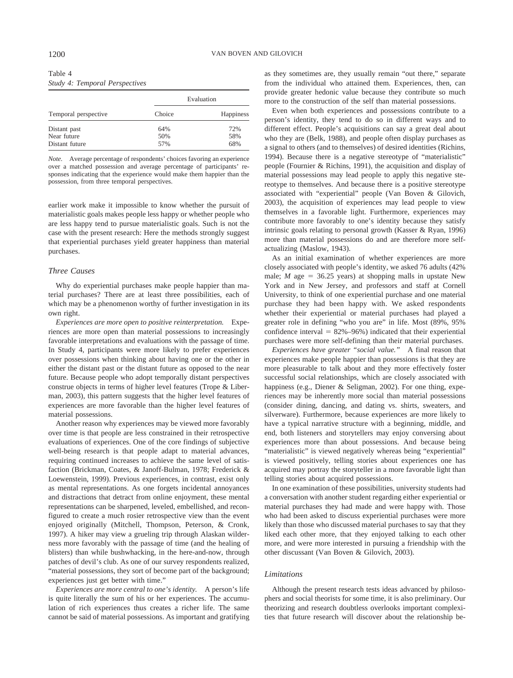| Table 4 |                                |
|---------|--------------------------------|
|         | Study 4: Temporal Perspectives |

| Temporal perspective |        | Evaluation       |
|----------------------|--------|------------------|
|                      | Choice | <b>Happiness</b> |
| Distant past         | 64%    | 72%              |
| Near future          | 50%    | 58%              |
| Distant future       | 57%    | 68%              |

*Note.* Average percentage of respondents' choices favoring an experience over a matched possession and average percentage of participants' responses indicating that the experience would make them happier than the possession, from three temporal perspectives.

earlier work make it impossible to know whether the pursuit of materialistic goals makes people less happy or whether people who are less happy tend to pursue materialistic goals. Such is not the case with the present research: Here the methods strongly suggest that experiential purchases yield greater happiness than material purchases.

## *Three Causes*

Why do experiential purchases make people happier than material purchases? There are at least three possibilities, each of which may be a phenomenon worthy of further investigation in its own right.

*Experiences are more open to positive reinterpretation.* Experiences are more open than material possessions to increasingly favorable interpretations and evaluations with the passage of time. In Study 4, participants were more likely to prefer experiences over possessions when thinking about having one or the other in either the distant past or the distant future as opposed to the near future. Because people who adopt temporally distant perspectives construe objects in terms of higher level features (Trope & Liberman, 2003), this pattern suggests that the higher level features of experiences are more favorable than the higher level features of material possessions.

Another reason why experiences may be viewed more favorably over time is that people are less constrained in their retrospective evaluations of experiences. One of the core findings of subjective well-being research is that people adapt to material advances, requiring continued increases to achieve the same level of satisfaction (Brickman, Coates, & Janoff-Bulman, 1978; Frederick & Loewenstein, 1999). Previous experiences, in contrast, exist only as mental representations. As one forgets incidental annoyances and distractions that detract from online enjoyment, these mental representations can be sharpened, leveled, embellished, and reconfigured to create a much rosier retrospective view than the event enjoyed originally (Mitchell, Thompson, Peterson, & Cronk, 1997). A hiker may view a grueling trip through Alaskan wilderness more favorably with the passage of time (and the healing of blisters) than while bushwhacking, in the here-and-now, through patches of devil's club. As one of our survey respondents realized, "material possessions, they sort of become part of the background; experiences just get better with time."

*Experiences are more central to one's identity.* A person's life is quite literally the sum of his or her experiences. The accumulation of rich experiences thus creates a richer life. The same cannot be said of material possessions. As important and gratifying as they sometimes are, they usually remain "out there," separate from the individual who attained them. Experiences, then, can provide greater hedonic value because they contribute so much more to the construction of the self than material possessions.

Even when both experiences and possessions contribute to a person's identity, they tend to do so in different ways and to different effect. People's acquisitions can say a great deal about who they are (Belk, 1988), and people often display purchases as a signal to others (and to themselves) of desired identities (Richins, 1994). Because there is a negative stereotype of "materialistic" people (Fournier & Richins, 1991), the acquisition and display of material possessions may lead people to apply this negative stereotype to themselves. And because there is a positive stereotype associated with "experiential" people (Van Boven & Gilovich, 2003), the acquisition of experiences may lead people to view themselves in a favorable light. Furthermore, experiences may contribute more favorably to one's identity because they satisfy intrinsic goals relating to personal growth (Kasser & Ryan, 1996) more than material possessions do and are therefore more selfactualizing (Maslow, 1943).

As an initial examination of whether experiences are more closely associated with people's identity, we asked 76 adults (42% male;  $M$  age  $= 36.25$  years) at shopping malls in upstate New York and in New Jersey, and professors and staff at Cornell University, to think of one experiential purchase and one material purchase they had been happy with. We asked respondents whether their experiential or material purchases had played a greater role in defining "who you are" in life. Most (89%, 95% confidence interval  $= 82\% - 96\%$  indicated that their experiential purchases were more self-defining than their material purchases.

*Experiences have greater "social value."* A final reason that experiences make people happier than possessions is that they are more pleasurable to talk about and they more effectively foster successful social relationships, which are closely associated with happiness (e.g., Diener & Seligman, 2002). For one thing, experiences may be inherently more social than material possessions (consider dining, dancing, and dating vs. shirts, sweaters, and silverware). Furthermore, because experiences are more likely to have a typical narrative structure with a beginning, middle, and end, both listeners and storytellers may enjoy conversing about experiences more than about possessions. And because being "materialistic" is viewed negatively whereas being "experiential" is viewed positively, telling stories about experiences one has acquired may portray the storyteller in a more favorable light than telling stories about acquired possessions.

In one examination of these possibilities, university students had a conversation with another student regarding either experiential or material purchases they had made and were happy with. Those who had been asked to discuss experiential purchases were more likely than those who discussed material purchases to say that they liked each other more, that they enjoyed talking to each other more, and were more interested in pursuing a friendship with the other discussant (Van Boven & Gilovich, 2003).

# *Limitations*

Although the present research tests ideas advanced by philosophers and social theorists for some time, it is also preliminary. Our theorizing and research doubtless overlooks important complexities that future research will discover about the relationship be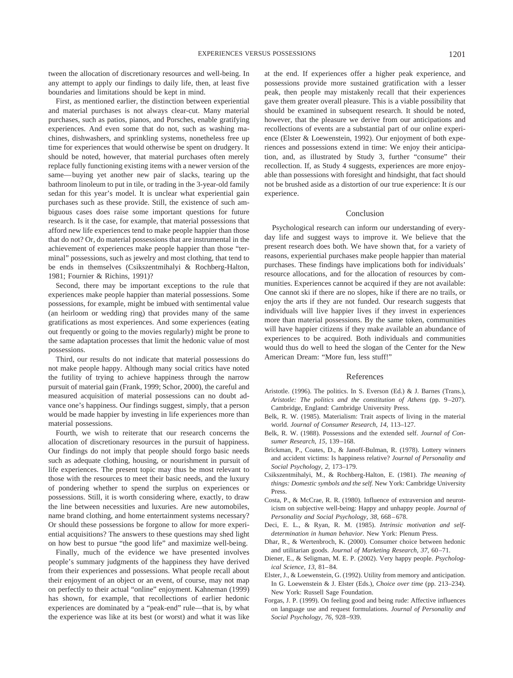tween the allocation of discretionary resources and well-being. In any attempt to apply our findings to daily life, then, at least five boundaries and limitations should be kept in mind.

First, as mentioned earlier, the distinction between experiential and material purchases is not always clear-cut. Many material purchases, such as patios, pianos, and Porsches, enable gratifying experiences. And even some that do not, such as washing machines, dishwashers, and sprinkling systems, nonetheless free up time for experiences that would otherwise be spent on drudgery. It should be noted, however, that material purchases often merely replace fully functioning existing items with a newer version of the same—buying yet another new pair of slacks, tearing up the bathroom linoleum to put in tile, or trading in the 3-year-old family sedan for this year's model. It is unclear what experiential gain purchases such as these provide. Still, the existence of such ambiguous cases does raise some important questions for future research. Is it the case, for example, that material possessions that afford new life experiences tend to make people happier than those that do not? Or, do material possessions that are instrumental in the achievement of experiences make people happier than those "terminal" possessions, such as jewelry and most clothing, that tend to be ends in themselves (Csikszentmihalyi & Rochberg-Halton, 1981; Fournier & Richins, 1991)?

Second, there may be important exceptions to the rule that experiences make people happier than material possessions. Some possessions, for example, might be imbued with sentimental value (an heirloom or wedding ring) that provides many of the same gratifications as most experiences. And some experiences (eating out frequently or going to the movies regularly) might be prone to the same adaptation processes that limit the hedonic value of most possessions.

Third, our results do not indicate that material possessions do not make people happy. Although many social critics have noted the futility of trying to achieve happiness through the narrow pursuit of material gain (Frank, 1999; Schor, 2000), the careful and measured acquisition of material possessions can no doubt advance one's happiness. Our findings suggest, simply, that a person would be made happier by investing in life experiences more than material possessions.

Fourth, we wish to reiterate that our research concerns the allocation of discretionary resources in the pursuit of happiness. Our findings do not imply that people should forgo basic needs such as adequate clothing, housing, or nourishment in pursuit of life experiences. The present topic may thus be most relevant to those with the resources to meet their basic needs, and the luxury of pondering whether to spend the surplus on experiences or possessions. Still, it is worth considering where, exactly, to draw the line between necessities and luxuries. Are new automobiles, name brand clothing, and home entertainment systems necessary? Or should these possessions be forgone to allow for more experiential acquisitions? The answers to these questions may shed light on how best to pursue "the good life" and maximize well-being.

Finally, much of the evidence we have presented involves people's summary judgments of the happiness they have derived from their experiences and possessions. What people recall about their enjoyment of an object or an event, of course, may not map on perfectly to their actual "online" enjoyment. Kahneman (1999) has shown, for example, that recollections of earlier hedonic experiences are dominated by a "peak-end" rule—that is, by what the experience was like at its best (or worst) and what it was like

at the end. If experiences offer a higher peak experience, and possessions provide more sustained gratification with a lesser peak, then people may mistakenly recall that their experiences gave them greater overall pleasure. This is a viable possibility that should be examined in subsequent research. It should be noted, however, that the pleasure we derive from our anticipations and recollections of events are a substantial part of our online experience (Elster & Loewenstein, 1992). Our enjoyment of both experiences and possessions extend in time: We enjoy their anticipation, and, as illustrated by Study 3, further "consume" their recollection. If, as Study 4 suggests, experiences are more enjoyable than possessions with foresight and hindsight, that fact should not be brushed aside as a distortion of our true experience: It *is* our experience.

#### Conclusion

Psychological research can inform our understanding of everyday life and suggest ways to improve it. We believe that the present research does both. We have shown that, for a variety of reasons, experiential purchases make people happier than material purchases. These findings have implications both for individuals' resource allocations, and for the allocation of resources by communities. Experiences cannot be acquired if they are not available: One cannot ski if there are no slopes, hike if there are no trails, or enjoy the arts if they are not funded. Our research suggests that individuals will live happier lives if they invest in experiences more than material possessions. By the same token, communities will have happier citizens if they make available an abundance of experiences to be acquired. Both individuals and communities would thus do well to heed the slogan of the Center for the New American Dream: "More fun, less stuff!"

#### References

- Aristotle. (1996). The politics. In S. Everson (Ed.) & J. Barnes (Trans.), *Aristotle: The politics and the constitution of Athens* (pp. 9–207). Cambridge, England: Cambridge University Press.
- Belk, R. W. (1985). Materialism: Trait aspects of living in the material world. *Journal of Consumer Research, 14,* 113–127.
- Belk, R. W. (1988). Possessions and the extended self. *Journal of Consumer Research, 15,* 139–168.
- Brickman, P., Coates, D., & Janoff-Bulman, R. (1978). Lottery winners and accident victims: Is happiness relative? *Journal of Personality and Social Psychology, 2,* 173–179.
- Csikszentmihalyi, M., & Rochberg-Halton, E. (1981). *The meaning of things: Domestic symbols and the self.* New York: Cambridge University Press.
- Costa, P., & McCrae, R. R. (1980). Influence of extraversion and neuroticism on subjective well-being: Happy and unhappy people. *Journal of Personality and Social Psychology, 38,* 668–678.
- Deci, E. L., & Ryan, R. M. (1985). *Intrinsic motivation and selfdetermination in human behavior.* New York: Plenum Press.
- Dhar, R., & Wertenbroch, K. (2000). Consumer choice between hedonic and utilitarian goods. *Journal of Marketing Research, 37,* 60–71.
- Diener, E., & Seligman, M. E. P. (2002). Very happy people. *Psychological Science, 13,* 81–84.
- Elster, J., & Loewenstein, G. (1992). Utility from memory and anticipation. In G. Loewenstein & J. Elster (Eds.), *Choice over time* (pp. 213–234). New York: Russell Sage Foundation.
- Forgas, J. P. (1999). On feeling good and being rude: Affective influences on language use and request formulations. *Journal of Personality and Social Psychology, 76,* 928–939.